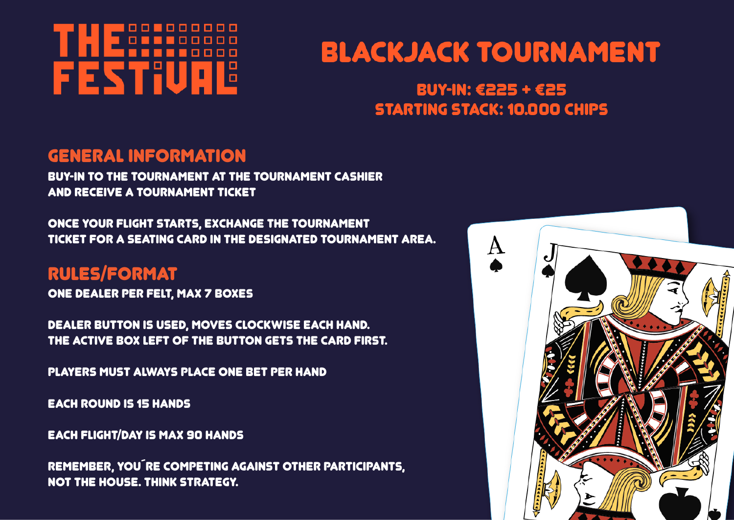# 000000000 **FESTIUR** 12

# **BLACKJACK TOURNAMENT**

## **BUY-IN: €225 + €25 STARTING STACK: 10.000 CHIPS**

#### GENERAL INFORMATION

Buy-in to the tournament at the Tournament Cashier and receive a tournament ticket

Once your flight starts, exchange the tournament ticket for a seating card in the designated tournament area.

## RULES/FORMAT

One dealer per felt, max 7 boxes

Dealer button is used, moves clockwise each hand. The active box left of the button gets the card first.

Players must always place one bet per hand

Each round is 15 hands

Each flight/day is max 90 hands

Remember, you´re competing against other participants, not the house. Think strategy.

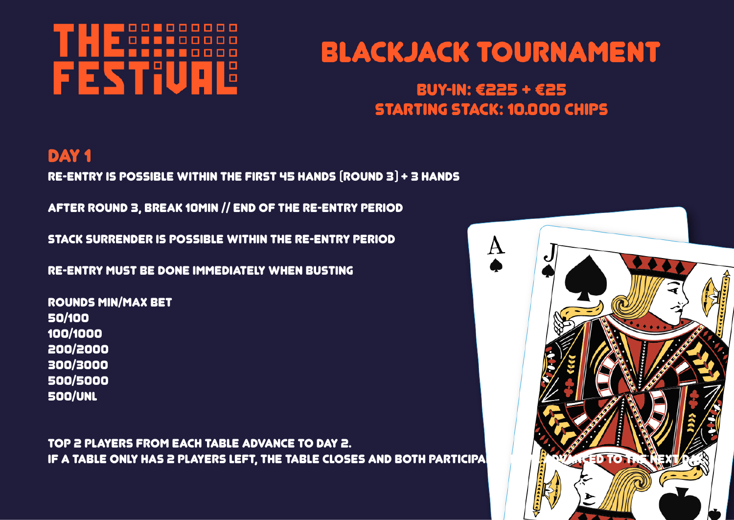# 00000000 FESTIU Iŏ

# **BLACKJACK TOURNAMENT**

## **BUY-IN: €225 + €25 STARTING STACK: 10.000 CHIPS**

## DAY<sub>1</sub>

Re-entry is possible within the first 45 hands (round 3) + 3 hands

After round 3, break 10min // end of the re-entry period

Stack surrender is possible within the re-entry period

Re-entry must be done immediately when busting

Rounds min/max bet 50/100 100/1000 200/2000 300/3000 500/5000 500/unl

Top 2 players from each table advance to day 2. IF A TABLE ONLY HAS 2 PLAYERS LEFT, THE TABLE CLOSES AND BOTH PARTICIPANTS HAVE ADVANCED TO TH

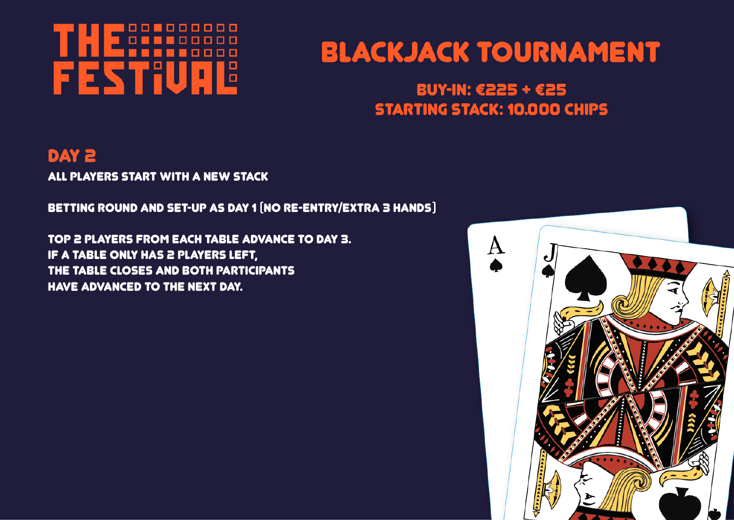# 00000000 FESTIU 15 р

# **BLACKJACK TOURNAMENT**

## BUY-IN:  $6225 + 625$ **STARTING STACK: 10.000 CHIPS**

# DAY 2

All players start with a new stack

Betting round and set-up as day 1 (no re-entry/extra 3 hands)

Top 2 players from each table advance to day 3. If a table only has 2 players left, the table closes and both participants have advanced to the next day.